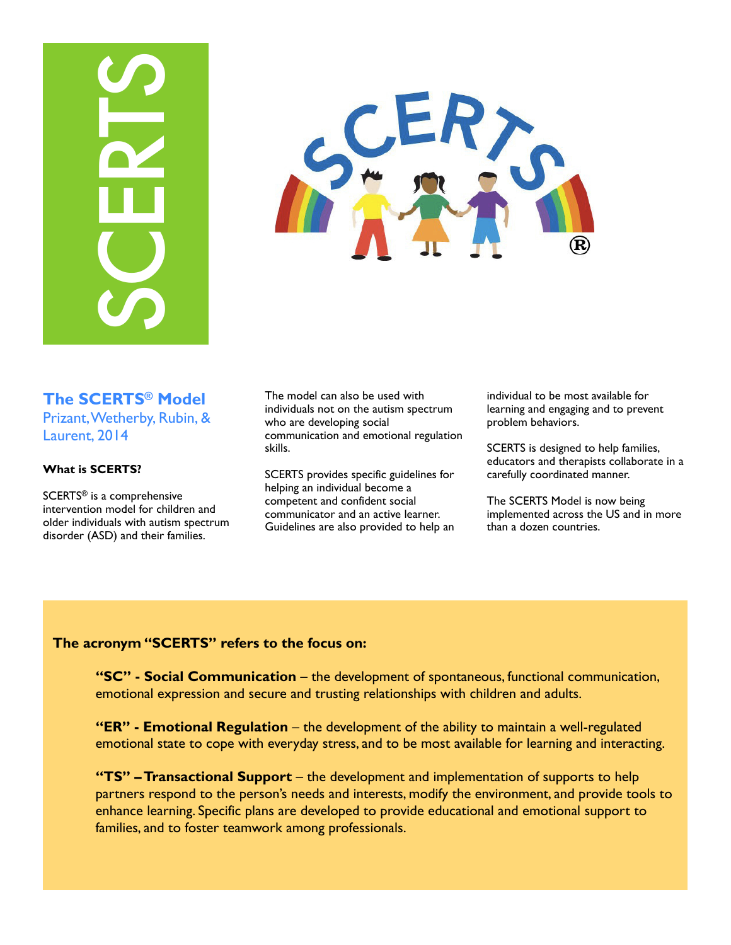# **FAMING CONSUM THE MODEL CONSUMERATS CONSUMIST CONSUMERATS!**<br> **FAMING CONSUMERATS!**<br> **EXERTS<sup>ID</sup> Model of children and to form and the series of the seater of the seater of the seater of the seater of the seater of the sea**



# **The SCERTS® Model**  Prizant, Wetherby, Rubin, & Laurent, 2014

## **What is SCERTS?**

SCERTS® is a comprehensive intervention model for children and older individuals with autism spectrum disorder (ASD) and their families.

The model can also be used with individuals not on the autism spectrum who are developing social communication and emotional regulation skills.

SCERTS provides specific guidelines for helping an individual become a competent and confident social communicator and an active learner. Guidelines are also provided to help an

individual to be most available for learning and engaging and to prevent problem behaviors.

SCERTS is designed to help families, educators and therapists collaborate in a carefully coordinated manner.

The SCERTS Model is now being implemented across the US and in more than a dozen countries.

# **The acronym "SCERTS" refers to the focus on:**

**"SC" - Social Communication** – the development of spontaneous, functional communication, emotional expression and secure and trusting relationships with children and adults.

**"ER" - Emotional Regulation** – the development of the ability to maintain a well-regulated emotional state to cope with everyday stress, and to be most available for learning and interacting.

**"TS" – Transactional Support** – the development and implementation of supports to help partners respond to the person's needs and interests, modify the environment, and provide tools to enhance learning. Specific plans are developed to provide educational and emotional support to